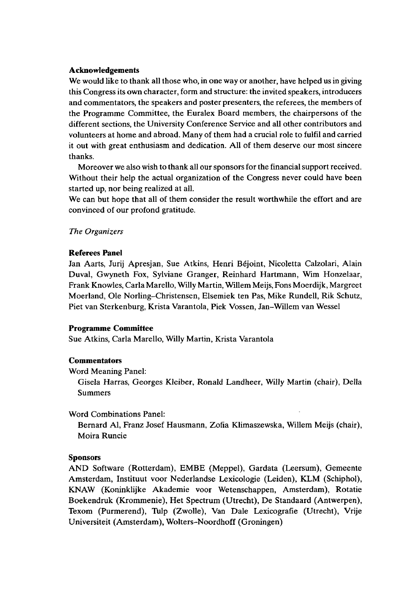# **Acknowledgements**

We would like to thank all those who, in one way or another, have helped us in giving this Congress its own character, form and structure: the invited speakers, introducers and commentators, the speakers and poster presenters, the referees, the members of the Programme Committee, the Euralex Board members, the chairpersons of the different sections, the University Conference Service and all other contributors and volunteers at home and abroad. Many of them had a crucial role to fulfil and carried it out with great enthusiasm and dedication. All of them deserve our most sincere thanks.

Moreover we also wish to thank all our sponsors for the financial support received. Without their help the actual organization of the Congress never could have been started up, nor being realized at all.

We can but hope that all of them consider the result worthwhile the effort and are convinced of our profond gratitude.

## *The Organizers*

# **Referees Panel**

Jan Aarts, Jurij Apresjan, Sue Atkins, Henri Béjoint, Nicoletta Calzolari, Alain Duval, Gwyneth Fox, Sylviane Granger, Reinhard Hartmann, Wim Honzelaar, Frank Knowles, Carta Marello, Willy Martin, Willem Meijs, Fons Moerdijk, Margreet Moerland, Ole Norling-Christensen, Elsemiek ten Pas, Mike Rundell, Rik Schutz, Piet van Sterkenburg, Krista Varantola, Piek Vossen, Jan-Willem van Wessel

# **Programme Committee**

Sue Atkins, Carla Marello, Willy Martin, Krista Varantola

#### **Commentators**

Word Meaning Panel:

Gisela Harras, Georges Kleiber, Ronald Landheer, Willy Martin (chair), Delia Summers

Word Combinations Panel:

Bernard Al, Franz Josef Hausmann, Zofia Klimaszewska, Willem Meijs (chair), Moira Runcie

# **Sponsors**

AND Software (Rotterdam), EMBE (Meppel), Gardata (Leersum), Gemeente Amsterdam, Instituut voor Nederlandse Lexicologie (Leiden), KLM (Schiphol), KNAW (Koninklijke Akademie voor Wetenschappen, Amsterdam), Rotatie Boekendruk (Krommenie), Het Spectrum (Utrecht), De Standaard (Antwerpen), Texom (Purmerend), Tulp (Zwolle), Van Dale Lexicografie (Utrecht), Vrije Universiteit (Amsterdam), Wolters-Noordhoff (Groningen)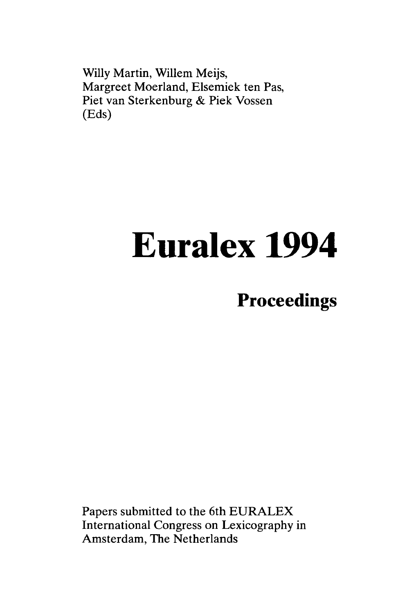Willy Martin, Willem Meijs, Margreet Moerland, Elsemiek ten Pas, Piet van Sterkenburg & Piek Vossen (Eds)

# **Euralex 1994**

# **Proceedings**

Papers submitted to the 6th EURALEX International Congress on Lexicography in Amsterdam, The Netherlands